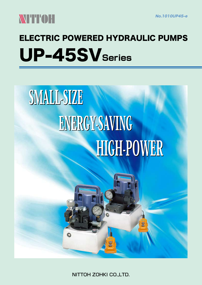

## ELECTRIC POWERED HYDRAULIC PUMPS UP-45SV**Series**

# **HIGH-LOMEK** ENERGY-SAVING ENERGY-SAVING SMALL-SIZE

NITTOH ZOHKI CO.,LTD.

 $\bullet$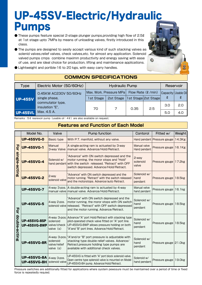### UP-45SV-Electric/Hydraulic Pumps

- These pumps feature special 2-stage plunger pumps,providing high flow of 2.5ℓ at 1st stage upto 7MPa by means of unloading valves, firstly introduced in this class.
- The pumps are designed to sesily accept various kind of such stacking valves as solenid valves,relief valves, check valves,etc. for almost any application. Solenoid valved pumps cmps combine maximm productivity and energy saving with ease of use, and are ideal choice for production, lifting and maintenance applications.
- Lightweight and portble-16 to 20 kgs, with easy carry handles.



Capacity  $\pmb{\ell}$ 

3.0

5.0

1st Stage  $\begin{vmatrix} 2st & 5ts \end{vmatrix}$  2st Stage 2st Stage  $\begin{vmatrix} 2 \end{vmatrix}$   $\begin{vmatrix} 2 \end{vmatrix}$   $\begin{vmatrix} 2 \end{vmatrix}$ 

70 7 0.35 2.5

Usable Oil

2.0

4.0

| <b>COMMON SPECIFICATIONS</b> |                          |                                                                  |  |                 |  |
|------------------------------|--------------------------|------------------------------------------------------------------|--|-----------------|--|
| Type                         | Electric Motor (50/60Hz) | <b>Hydraulic Pump</b>                                            |  | Reservoir       |  |
|                              | 0.45KW AC230V 50/60Hz    | $\vert$ Max. Work. Pressure MPa $\vert$ Flow Rate ( $\ell$ /min) |  | Capacity Usable |  |

| Remarks: 5 & resrevoir pump (usable oil: 4 &) are also available on request. |  |  |  |
|------------------------------------------------------------------------------|--|--|--|

single phase, commutator type, insulation "E", Max. 4.5 A.

UP-45SV

UP-45SVL

#### **Features and Function of Each Model**

|                    | Model No.                                  | Valve                                                       | <b>Pump function</b>                                                                                                                                                                                                 | Contorol                       | Fitted w/                   | Weight             |
|--------------------|--------------------------------------------|-------------------------------------------------------------|----------------------------------------------------------------------------------------------------------------------------------------------------------------------------------------------------------------------|--------------------------------|-----------------------------|--------------------|
| 공<br>single-acting | <b>UP-45SVG-0</b>                          | <b>Basic type</b><br>With P.T. manifold, without any valve. |                                                                                                                                                                                                                      |                                | Hand pendant Pressure gauge | 14.3 <sub>kg</sub> |
|                    | Manual<br><b>UP-45SVG-1</b><br>3-way Valve |                                                             | A single-acting ram is actuated by 3-way<br>manual valve. Advance/Hold/Retract.                                                                                                                                      | Manual valve<br>Hand pendant   | Pressure gauge              | 16.1Kg             |
|                    | <b>UP-45SVG-4</b>                          | Solenoid w/                                                 | "Advance" with ON switch depressed and the<br>motor running, the moror stops and "Hold"<br>hand pendant with the switch released. "Retract" with OFF<br>switch depressed. Advance/Hold/Retract.                      | 2-way<br>solenoid<br>valve     | Pressure gauge              | 17.2 <sub>kg</sub> |
|                    | <b>UP-45SVG-2</b>                          | 2-way<br>solenoid valve                                     | "Advance" with ON switch depressed and the<br>motor running. "Retract" with the switch released<br>and the motorstops. Advance/auto Retract.                                                                         | Solenoid w/<br>hand<br>pendant | Pressure gauge              | 18.5 <sub>kg</sub> |
| 공<br>double-acting | <b>UP-45SVG-7</b>                          | manual valve                                                | 4-way 3-pos. A double-acting ram is actuated by 4-way<br>manual valve. Advance/Hold/Retract.                                                                                                                         | Manual velve<br>hand pendant   | Pressure gauge              | 16.1kg             |
|                    | <b>UP-45SVG-5</b>                          | 4-way 2-pos.                                                | "Advance" with ON switch depressed and the<br>motor running, the moror stops with ON switch<br>solenoid valve released. "Retract" with OFF switch depressed<br>and the motor running. Advance/Retract.               | Solenoid w/<br>hand<br>pendant | Pressure gauge              | 18.5kg             |
|                    | <b>UP-45SVG-8SP</b><br><b>UP-45SVG-8WP</b> | solenoid<br>valve/check<br>valve $(s)$                      | 4-way 3-pos. Advance/"A" port Hold/Retract with stacking type<br>pilot-operated check valve fitted on "A" port line.<br>UP-45SVG-8WP allows pressure holding on both<br>"A"and "B" port lines. Advance/Hold/Retract. | Solenoid w/<br>hand<br>pendant | Pressure gauge              | 18.5kg             |
|                    | <b>UP-45SVG-8R</b>                         | 4-way 3-pos.<br>solenoid<br>valve/relief<br>valve (s)       | "A" and/or "B" port pressure is adjustable with<br>stacking type double relief valves. Advance/<br>Retract.pressure holding type pumps are<br>available with additional check valves.                                | Solenoid w/<br>hand<br>pendant | Pressure gauge 21.0kg       |                    |
|                    | <b>UP-45SVG-8A</b><br><b>UP-45SVG-8H</b>   | $ 4$ -way 3-pos.<br>solenoid valve                          | UP-45SVG is fitted with "A" port block solenoid valve.<br>Open centre type splenoid valve is mounted on Model<br>UP-45SVG-8H pump. Advance/Hold/Retract.                                                             | Solenoid w/<br>hand pendant    | Pressure gauge              | 19.0kg             |

Pressure switches are additionally fitted for applications where system pewssure must be maintaimed over a period of time or fixed force is repeatedly requied.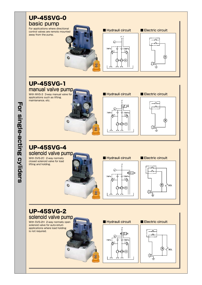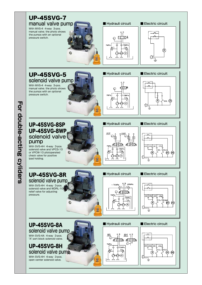

For double-acting **For double-acting cyliders** cyliders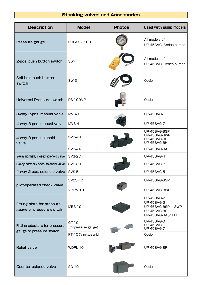#### **Stacking valves and Accessories**

| <b>Description</b>                                        | <b>Model</b>                                                 | <b>Photos</b> | Used with pump models                                                                                         |
|-----------------------------------------------------------|--------------------------------------------------------------|---------------|---------------------------------------------------------------------------------------------------------------|
| Pressure gauge                                            | PGF-63-1000G                                                 |               | All models of<br>UP-45SVG- Series pumps                                                                       |
| 2-pos. push button switch                                 | <b>SW-1</b>                                                  |               | All models of<br>UP-45SVG- Series pumps                                                                       |
| Self-hold push button<br>switch                           | $SW-3$                                                       |               | Option                                                                                                        |
| Universal Pressure switch                                 | <b>PS-100MP</b>                                              |               | Option                                                                                                        |
| 3-way 2-pos. manual valve                                 | MVS-3<br>MVS-4                                               |               | <b>UP-45SVG-1</b>                                                                                             |
| 4-way 3-pos. manual valve                                 |                                                              |               | <b>UP-45SVG-7</b>                                                                                             |
| 4-way 3-pos. solenoid<br>valve                            | SVS-4H                                                       |               | UP-45SVG-8SP<br>UP-45SVG-8WP<br><b>UP-45SVG-8R</b><br>UP-45SVG-8H                                             |
|                                                           | SVS-4A                                                       |               | <b>UP-45SVG-8A</b>                                                                                            |
| 2-way normally closed solenoid valve                      | SVS-2C<br>SVS-2H                                             |               | <b>UP-45SVG-4</b>                                                                                             |
| 2-way normally open solenoid valve                        |                                                              |               | <b>UP-45SVG-2</b>                                                                                             |
| 4-way 2-pos. solenoid valve                               | SVS-5                                                        |               | <b>UP-45SVG-5</b>                                                                                             |
|                                                           | VPCS-10                                                      |               | UP-45SVG-8SP                                                                                                  |
| pilot-operated check valve                                | VPCW-10                                                      |               | UP-45SVG-8WP                                                                                                  |
| Fitting plate for pressure<br>gauge or pressure switch    | <b>MBS-10</b>                                                |               | <b>UP-45SVG-2</b><br><b>UP-45SVG-5</b><br>UP-45SVG-8SP $\angle$ 8WP<br><b>UP-45SVG-8R</b><br>UP-45SVG-8A / 8H |
| Fitting adaptors for pressure<br>gauge or pressure switch | GT-10<br>(for pressure gauge)<br>PT-10 (for pressure switch) |               | <b>UP-45SVG-0</b><br><b>UP-45SVG-1</b><br><b>UP-45SVG-7</b><br>Option                                         |
| <b>Relief valve</b><br>WDRL-10                            |                                                              |               | <b>UP-45SVG-8R</b>                                                                                            |
| Counter balance valve                                     | SQ-10                                                        |               | Option                                                                                                        |